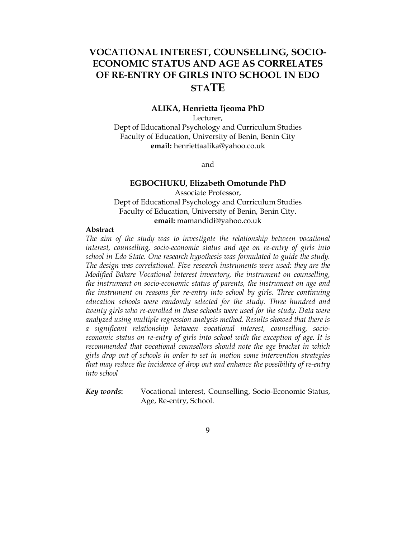# VOCATIONAL INTEREST, COUNSELLING, SOCIO-ECONOMIC STATUS AND AGE AS CORRELATES OF RE-ENTRY OF GIRLS INTO SCHOOL IN EDO STATE

#### ALIKA, Henrietta Ijeoma PhD

Lecturer,

Dept of Educational Psychology and Curriculum Studies Faculty of Education, University of Benin, Benin City email: henriettaalika@yahoo.co.uk

and

# EGBOCHUKU, Elizabeth Omotunde PhD

Associate Professor, Dept of Educational Psychology and Curriculum Studies Faculty of Education, University of Benin, Benin City. email: mamandidi@yahoo.co.uk

#### Abstract

The aim of the study was to investigate the relationship between vocational interest, counselling, socio-economic status and age on re-entry of girls into school in Edo State. One research hypothesis was formulated to guide the study. The design was correlational. Five research instruments were used: they are the Modified Bakare Vocational interest inventory, the instrument on counselling, the instrument on socio-economic status of parents, the instrument on age and the instrument on reasons for re-entry into school by girls. Three continuing education schools were randomly selected for the study. Three hundred and twenty girls who re-enrolled in these schools were used for the study. Data were analyzed using multiple regression analysis method. Results showed that there is a significant relationship between vocational interest, counselling, socioeconomic status on re-entry of girls into school with the exception of age. It is recommended that vocational counsellors should note the age bracket in which girls drop out of schools in order to set in motion some intervention strategies that may reduce the incidence of drop out and enhance the possibility of re-entry into school

Key words: Vocational interest, Counselling, Socio-Economic Status, Age, Re-entry, School.

# 9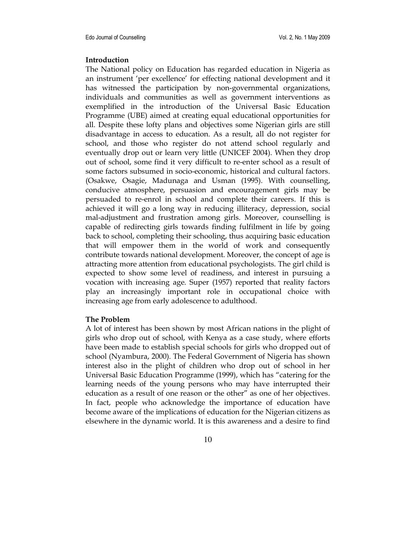#### Introduction

The National policy on Education has regarded education in Nigeria as an instrument 'per excellence' for effecting national development and it has witnessed the participation by non-governmental organizations, individuals and communities as well as government interventions as exemplified in the introduction of the Universal Basic Education Programme (UBE) aimed at creating equal educational opportunities for all. Despite these lofty plans and objectives some Nigerian girls are still disadvantage in access to education. As a result, all do not register for school, and those who register do not attend school regularly and eventually drop out or learn very little (UNICEF 2004). When they drop out of school, some find it very difficult to re-enter school as a result of some factors subsumed in socio-economic, historical and cultural factors. (Osakwe, Osagie, Madunaga and Usman (1995). With counselling, conducive atmosphere, persuasion and encouragement girls may be persuaded to re-enrol in school and complete their careers. If this is achieved it will go a long way in reducing illiteracy, depression, social mal-adjustment and frustration among girls. Moreover, counselling is capable of redirecting girls towards finding fulfilment in life by going back to school, completing their schooling, thus acquiring basic education that will empower them in the world of work and consequently contribute towards national development. Moreover, the concept of age is attracting more attention from educational psychologists. The girl child is expected to show some level of readiness, and interest in pursuing a vocation with increasing age. Super (1957) reported that reality factors play an increasingly important role in occupational choice with increasing age from early adolescence to adulthood.

#### The Problem

A lot of interest has been shown by most African nations in the plight of girls who drop out of school, with Kenya as a case study, where efforts have been made to establish special schools for girls who dropped out of school (Nyambura, 2000). The Federal Government of Nigeria has shown interest also in the plight of children who drop out of school in her Universal Basic Education Programme (1999), which has "catering for the learning needs of the young persons who may have interrupted their education as a result of one reason or the other" as one of her objectives. In fact, people who acknowledge the importance of education have become aware of the implications of education for the Nigerian citizens as elsewhere in the dynamic world. It is this awareness and a desire to find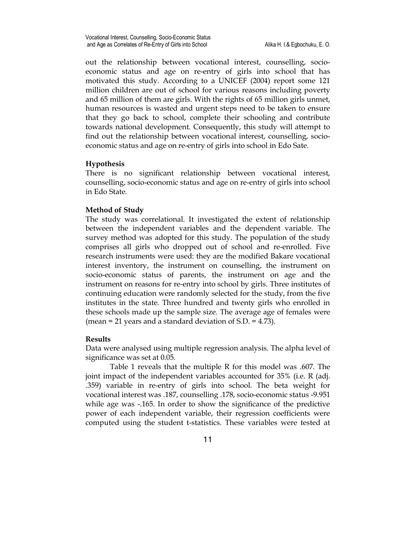out the relationship between vocational interest, counselling, socioeconomic status and age on re-entry of girls into school that has motivated this study. According to a UNICEF (2004) report some 121 million children are out of school for various reasons including poverty and 65 million of them are girls. With the rights of 65 million girls unmet, human resources is wasted and urgent steps need to be taken to ensure that they go back to school, complete their schooling and contribute towards national development. Consequently, this study will attempt to find out the relationship between vocational interest, counselling, socioeconomic status and age on re-entry of girls into school in Edo Sate.

### Hypothesis

There is no significant relationship between vocational interest, counselling, socio-economic status and age on re-entry of girls into school in Edo State.

# Method of Study

The study was correlational. It investigated the extent of relationship between the independent variables and the dependent variable. The survey method was adopted for this study. The population of the study comprises all girls who dropped out of school and re-enrolled. Five research instruments were used: they are the modified Bakare vocational interest inventory, the instrument on counselling, the instrument on socio-economic status of parents, the instrument on age and the instrument on reasons for re-entry into school by girls. Three institutes of continuing education were randomly selected for the study, from the five institutes in the state. Three hundred and twenty girls who enrolled in these schools made up the sample size. The average age of females were (mean  $= 21$  years and a standard deviation of S.D.  $= 4.73$ ).

# Results

Data were analysed using multiple regression analysis. The alpha level of significance was set at 0.05.

Table 1 reveals that the multiple R for this model was .607. The joint impact of the independent variables accounted for 35% (i.e. R (adj. .359) variable in re-entry of girls into school. The beta weight for vocational interest was .187, counselling .178, socio-economic status -9.951 while age was -.165. In order to show the significance of the predictive power of each independent variable, their regression coefficients were computed using the student t-statistics. These variables were tested at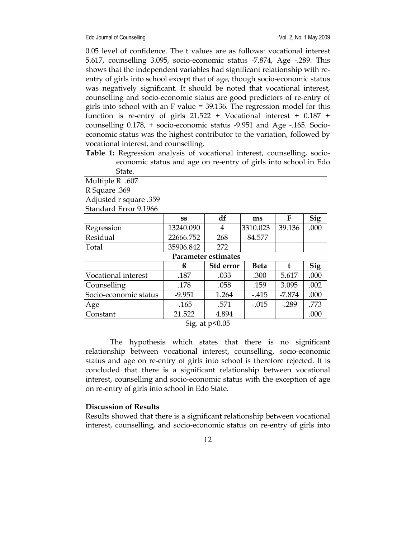0.05 level of confidence. The t values are as follows: vocational interest 5.617, counselling 3.095, socio-economic status -7.874, Age -.289. This shows that the independent variables had significant relationship with reentry of girls into school except that of age, though socio-economic status was negatively significant. It should be noted that vocational interest, counselling and socio-economic status are good predictors of re-entry of girls into school with an F value = 39.136. The regression model for this function is re-entry of girls 21.522 + Vocational interest + 0.187 + counselling 0.178, + socio-economic status -9.951 and Age -.165. Socioeconomic status was the highest contributor to the variation, followed by vocational interest, and counselling.

Table 1: Regression analysis of vocational interest, counselling, socioeconomic status and age on re-entry of girls into school in Edo  $C_{\text{total}}$ 

| olale.                     |           |           |             |          |            |
|----------------------------|-----------|-----------|-------------|----------|------------|
| Multiple R .607            |           |           |             |          |            |
| R Square .369              |           |           |             |          |            |
| Adjusted r square .359     |           |           |             |          |            |
| Standard Error 9.1966      |           |           |             |          |            |
|                            | SS        | df        | ms          | F        | Sig        |
| Regression                 | 13240.090 | 4         | 3310.023    | 39.136   | .000       |
| Residual                   | 22666.752 | 268       | 84.577      |          |            |
| Total                      | 35906.842 | 272       |             |          |            |
| <b>Parameter estimates</b> |           |           |             |          |            |
|                            | ß         | Std error | <b>Beta</b> |          | <b>Sig</b> |
| Vocational interest        | .187      | .033      | .300        | 5.617    | .000       |
| Counselling                | .178      | .058      | .159        | 3.095    | .002       |
| Socio-economic status      | $-9.951$  | 1.264     | $-.415$     | $-7.874$ | .000       |
| Age                        | $-0.165$  | .571      | $-.015$     | $-.289$  | .773       |
| Constant                   | 21.522    | 4.894     |             |          | .000       |
| $\sim$ $\sim$ $\sim$       |           |           |             |          |            |

Sig. at p<0.05

The hypothesis which states that there is no significant relationship between vocational interest, counselling, socio-economic status and age on re-entry of girls into school is therefore rejected. It is concluded that there is a significant relationship between vocational interest, counselling and socio-economic status with the exception of age on re-entry of girls into school in Edo State.

### Discussion of Results

Results showed that there is a significant relationship between vocational interest, counselling, and socio-economic status on re-entry of girls into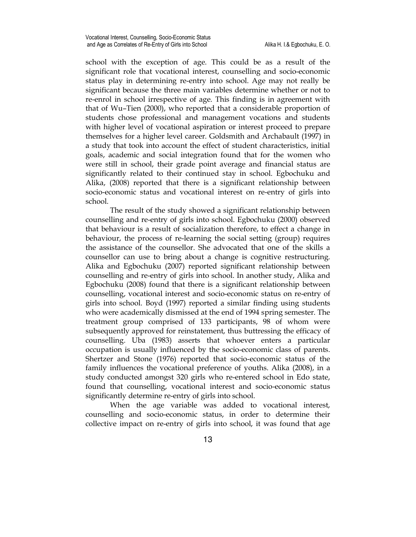school with the exception of age. This could be as a result of the significant role that vocational interest, counselling and socio-economic status play in determining re-entry into school. Age may not really be significant because the three main variables determine whether or not to re-enrol in school irrespective of age. This finding is in agreement with that of Wu–Tien (2000), who reported that a considerable proportion of students chose professional and management vocations and students with higher level of vocational aspiration or interest proceed to prepare themselves for a higher level career. Goldsmith and Archabault (1997) in a study that took into account the effect of student characteristics, initial goals, academic and social integration found that for the women who were still in school, their grade point average and financial status are significantly related to their continued stay in school. Egbochuku and Alika, (2008) reported that there is a significant relationship between socio-economic status and vocational interest on re-entry of girls into school.

The result of the study showed a significant relationship between counselling and re-entry of girls into school. Egbochuku (2000) observed that behaviour is a result of socialization therefore, to effect a change in behaviour, the process of re-learning the social setting (group) requires the assistance of the counsellor. She advocated that one of the skills a counsellor can use to bring about a change is cognitive restructuring. Alika and Egbochuku (2007) reported significant relationship between counselling and re-entry of girls into school. In another study, Alika and Egbochuku (2008) found that there is a significant relationship between counselling, vocational interest and socio-economic status on re-entry of girls into school. Boyd (1997) reported a similar finding using students who were academically dismissed at the end of 1994 spring semester. The treatment group comprised of 133 participants, 98 of whom were subsequently approved for reinstatement, thus buttressing the efficacy of counselling. Uba (1983) asserts that whoever enters a particular occupation is usually influenced by the socio-economic class of parents. Shertzer and Stone (1976) reported that socio-economic status of the family influences the vocational preference of youths. Alika (2008), in a study conducted amongst 320 girls who re-entered school in Edo state, found that counselling, vocational interest and socio-economic status significantly determine re-entry of girls into school.

When the age variable was added to vocational interest, counselling and socio-economic status, in order to determine their collective impact on re-entry of girls into school, it was found that age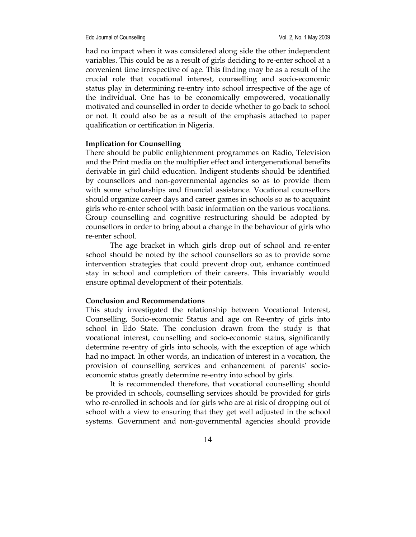Edo Journal of Counselling The Counselling Counsel and The Vol. 2, No. 1 May 2009

had no impact when it was considered along side the other independent variables. This could be as a result of girls deciding to re-enter school at a convenient time irrespective of age. This finding may be as a result of the crucial role that vocational interest, counselling and socio-economic status play in determining re-entry into school irrespective of the age of the individual. One has to be economically empowered, vocationally motivated and counselled in order to decide whether to go back to school or not. It could also be as a result of the emphasis attached to paper qualification or certification in Nigeria.

#### Implication for Counselling

There should be public enlightenment programmes on Radio, Television and the Print media on the multiplier effect and intergenerational benefits derivable in girl child education. Indigent students should be identified by counsellors and non-governmental agencies so as to provide them with some scholarships and financial assistance. Vocational counsellors should organize career days and career games in schools so as to acquaint girls who re-enter school with basic information on the various vocations. Group counselling and cognitive restructuring should be adopted by counsellors in order to bring about a change in the behaviour of girls who re-enter school.

The age bracket in which girls drop out of school and re-enter school should be noted by the school counsellors so as to provide some intervention strategies that could prevent drop out, enhance continued stay in school and completion of their careers. This invariably would ensure optimal development of their potentials.

#### Conclusion and Recommendations

This study investigated the relationship between Vocational Interest, Counselling, Socio-economic Status and age on Re-entry of girls into school in Edo State. The conclusion drawn from the study is that vocational interest, counselling and socio-economic status, significantly determine re-entry of girls into schools, with the exception of age which had no impact. In other words, an indication of interest in a vocation, the provision of counselling services and enhancement of parents' socioeconomic status greatly determine re-entry into school by girls.

It is recommended therefore, that vocational counselling should be provided in schools, counselling services should be provided for girls who re-enrolled in schools and for girls who are at risk of dropping out of school with a view to ensuring that they get well adjusted in the school systems. Government and non-governmental agencies should provide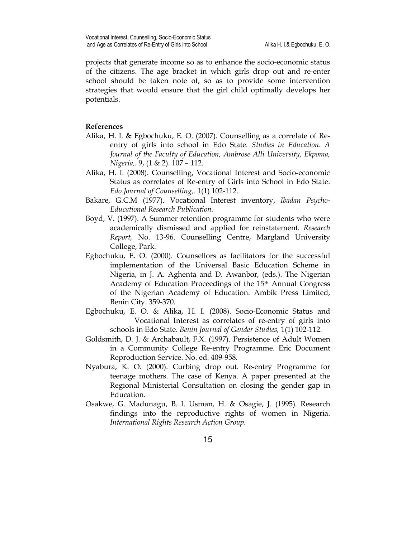projects that generate income so as to enhance the socio-economic status of the citizens. The age bracket in which girls drop out and re-enter school should be taken note of, so as to provide some intervention strategies that would ensure that the girl child optimally develops her potentials.

# References

- Alika, H. I. & Egbochuku, E. O. (2007). Counselling as a correlate of Reentry of girls into school in Edo State. Studies in Education. A Journal of the Faculty of Education, Ambrose Alli University, Ekpoma, Nigeria,. 9, (1 & 2). 107 – 112.
- Alika, H. I. (2008). Counselling, Vocational Interest and Socio-economic Status as correlates of Re-entry of Girls into School in Edo State. Edo Journal of Counselling,. 1(1) 102-112.
- Bakare, G.C.M (1977). Vocational Interest inventory, Ibadan Psycho-Educational Research Publication.
- Boyd, V. (1997). A Summer retention programme for students who were academically dismissed and applied for reinstatement. Research Report, No. 13-96. Counselling Centre, Margland University College, Park.
- Egbochuku, E. O. (2000). Counsellors as facilitators for the successful implementation of the Universal Basic Education Scheme in Nigeria, in J. A. Aghenta and D. Awanbor, (eds.). The Nigerian Academy of Education Proceedings of the 15<sup>th</sup> Annual Congress of the Nigerian Academy of Education. Ambik Press Limited, Benin City. 359-370.
- Egbochuku, E. O. & Alika, H. I. (2008). Socio-Economic Status and Vocational Interest as correlates of re-entry of girls into schools in Edo State. Benin Journal of Gender Studies, 1(1) 102-112.
- Goldsmith, D. J. & Archabault, F.X. (1997). Persistence of Adult Women in a Community College Re-entry Programme. Eric Document Reproduction Service. No. ed. 409-958.
- Nyabura, K. O. (2000). Curbing drop out. Re-entry Programme for teenage mothers. The case of Kenya. A paper presented at the Regional Ministerial Consultation on closing the gender gap in Education.
- Osakwe, G. Madunagu, B. I. Usman, H. & Osagie, J. (1995). Research findings into the reproductive rights of women in Nigeria. International Rights Research Action Group.